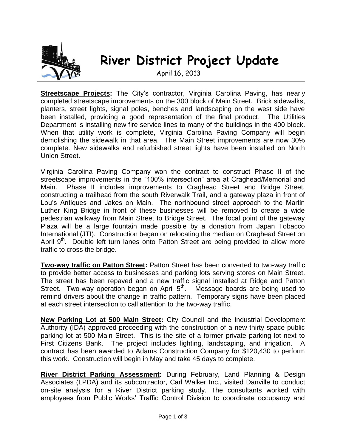

## **River District Project Update**

April 16, 2013

**Streetscape Projects:** The City's contractor, Virginia Carolina Paving, has nearly completed streetscape improvements on the 300 block of Main Street. Brick sidewalks, planters, street lights, signal poles, benches and landscaping on the west side have been installed, providing a good representation of the final product. The Utilities Department is installing new fire service lines to many of the buildings in the 400 block. When that utility work is complete, Virginia Carolina Paving Company will begin demolishing the sidewalk in that area. The Main Street improvements are now 30% complete. New sidewalks and refurbished street lights have been installed on North Union Street.

Virginia Carolina Paving Company won the contract to construct Phase II of the streetscape improvements in the "100% intersection" area at Craghead/Memorial and Main. Phase II includes improvements to Craghead Street and Bridge Street, constructing a trailhead from the south Riverwalk Trail, and a gateway plaza in front of Lou's Antiques and Jakes on Main. The northbound street approach to the Martin Luther King Bridge in front of these businesses will be removed to create a wide pedestrian walkway from Main Street to Bridge Street. The focal point of the gateway Plaza will be a large fountain made possible by a donation from Japan Tobacco International (JTI). Construction began on relocating the median on Craghead Street on April  $9<sup>th</sup>$ . Double left turn lanes onto Patton Street are being provided to allow more traffic to cross the bridge.

**Two-way traffic on Patton Street:** Patton Street has been converted to two-way traffic to provide better access to businesses and parking lots serving stores on Main Street. The street has been repaved and a new traffic signal installed at Ridge and Patton Street. Two-way operation began on April 5<sup>th</sup>. Message boards are being used to remind drivers about the change in traffic pattern. Temporary signs have been placed at each street intersection to call attention to the two-way traffic.

**New Parking Lot at 500 Main Street:** City Council and the Industrial Development Authority (IDA) approved proceeding with the construction of a new thirty space public parking lot at 500 Main Street. This is the site of a former private parking lot next to First Citizens Bank. The project includes lighting, landscaping, and irrigation. A contract has been awarded to Adams Construction Company for \$120,430 to perform this work. Construction will begin in May and take 45 days to complete.

**River District Parking Assessment:** During February, Land Planning & Design Associates (LPDA) and its subcontractor, Carl Walker Inc., visited Danville to conduct on-site analysis for a River District parking study. The consultants worked with employees from Public Works' Traffic Control Division to coordinate occupancy and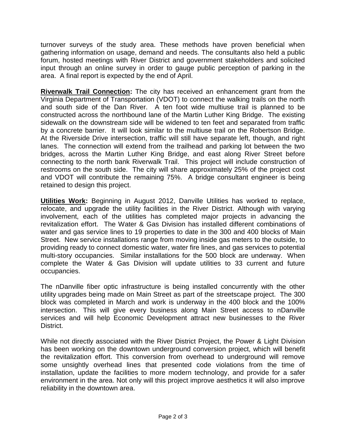turnover surveys of the study area. These methods have proven beneficial when gathering information on usage, demand and needs. The consultants also held a public forum, hosted meetings with River District and government stakeholders and solicited input through an online survey in order to gauge public perception of parking in the area. A final report is expected by the end of April.

**Riverwalk Trail Connection:** The city has received an enhancement grant from the Virginia Department of Transportation (VDOT) to connect the walking trails on the north and south side of the Dan River. A ten foot wide multiuse trail is planned to be constructed across the northbound lane of the Martin Luther King Bridge. The existing sidewalk on the downstream side will be widened to ten feet and separated from traffic by a concrete barrier. It will look similar to the multiuse trail on the Robertson Bridge. At the Riverside Drive intersection, traffic will still have separate left, though, and right lanes. The connection will extend from the trailhead and parking lot between the two bridges, across the Martin Luther King Bridge, and east along River Street before connecting to the north bank Riverwalk Trail. This project will include construction of restrooms on the south side. The city will share approximately 25% of the project cost and VDOT will contribute the remaining 75%. A bridge consultant engineer is being retained to design this project.

**Utilities Work:** Beginning in August 2012, Danville Utilities has worked to replace, relocate, and upgrade the utility facilities in the River District. Although with varying involvement, each of the utilities has completed major projects in advancing the revitalization effort. The Water & Gas Division has installed different combinations of water and gas service lines to 19 properties to date in the 300 and 400 blocks of Main Street. New service installations range from moving inside gas meters to the outside, to providing ready to connect domestic water, water fire lines, and gas services to potential multi-story occupancies. Similar installations for the 500 block are underway. When complete the Water & Gas Division will update utilities to 33 current and future occupancies.

The nDanville fiber optic infrastructure is being installed concurrently with the other utility upgrades being made on Main Street as part of the streetscape project. The 300 block was completed in March and work is underway in the 400 block and the 100% intersection. This will give every business along Main Street access to nDanville services and will help Economic Development attract new businesses to the River District.

While not directly associated with the River District Project, the Power & Light Division has been working on the downtown underground conversion project, which will benefit the revitalization effort. This conversion from overhead to underground will remove some unsightly overhead lines that presented code violations from the time of installation, update the facilities to more modern technology, and provide for a safer environment in the area. Not only will this project improve aesthetics it will also improve reliability in the downtown area.